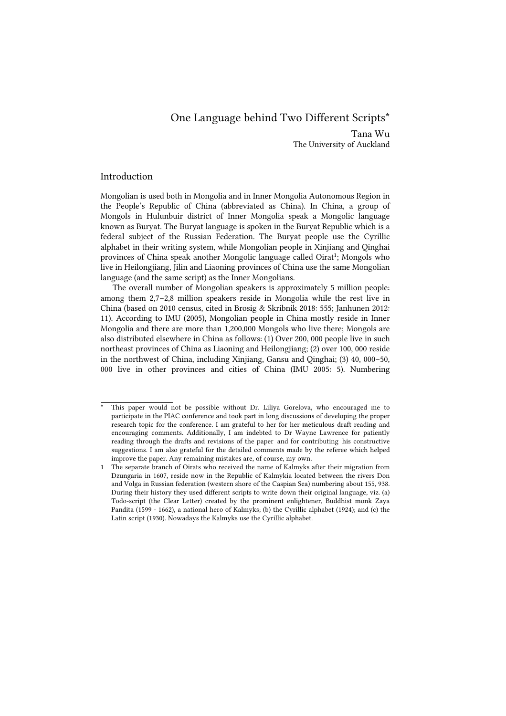# One Language behind Two Different Scripts\*

Tana Wu The University of Auckland

## Introduction

Mongolian is used both in Mongolia and in Inner Mongolia Autonomous Region in the People's Republic of China (abbreviated as China). In China, a group of Mongols in Hulunbuir district of Inner Mongolia speak a Mongolic language known as Buryat. The Buryat language is spoken in the Buryat Republic which is a federal subject of the Russian Federation. The Buryat people use the Cyrillic alphabet in their writing system, while Mongolian people in Xinjiang and Qinghai provinces of China speak another Mongolic language called Oirat<sup>1</sup>; Mongols who live in Heilongjiang, Jilin and Liaoning provinces of China use the same Mongolian language (and the same script) as the Inner Mongolians.

The overall number of Mongolian speakers is approximately 5 million people: among them 2,7–2,8 million speakers reside in Mongolia while the rest live in China (based on 2010 census, cited in Brosig & Skribnik 2018: 555; Janhunen 2012: 11). According to IMU (2005), Mongolian people in China mostly reside in Inner Mongolia and there are more than 1,200,000 Mongols who live there; Mongols are also distributed elsewhere in China as follows: (1) Over 200, 000 people live in such northeast provinces of China as Liaoning and Heilongjiang; (2) over 100, 000 reside in the northwest of China, including Xinjiang, Gansu and Qinghai; (3) 40, 000–50, 000 live in other provinces and cities of China (IMU 2005: 5). Numbering

This paper would not be possible without Dr. Liliya Gorelova, who encouraged me to participate in the PIAC conference and took part in long discussions of developing the proper research topic for the conference. I am grateful to her for her meticulous draft reading and encouraging comments. Additionally, I am indebted to Dr Wayne Lawrence for patiently reading through the drafts and revisions of the paper and for contributing his constructive suggestions. I am also grateful for the detailed comments made by the referee which helped improve the paper. Any remaining mistakes are, of course, my own.

<sup>1</sup> The separate branch of Oirats who received the name of Kalmyks after their migration from Dzungaria in 1607, reside now in the Republic of Kalmykia located between the rivers Don and Volga in Russian federation (western shore of the Caspian Sea) numbering about 155, 938. During their history they used different scripts to write down their original language, viz. (a) Todo-script (the Clear Letter) created by the prominent enlightener, Buddhist monk Zaya Pandita (1599 - 1662), a national hero of Kalmyks; (b) the Cyrillic alphabet (1924); and (c) the Latin script (1930). Nowadays the Kalmyks use the Cyrillic alphabet.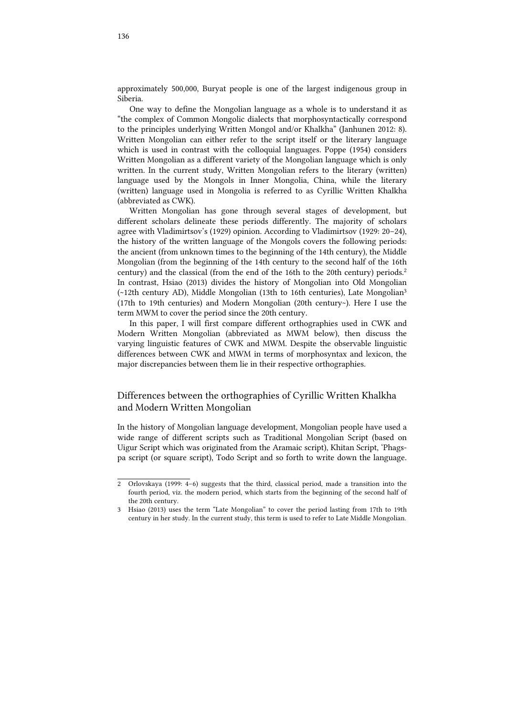approximately 500,000, Buryat people is one of the largest indigenous group in Siberia.

One way to define the Mongolian language as a whole is to understand it as "the complex of Common Mongolic dialects that morphosyntactically correspond to the principles underlying Written Mongol and/or Khalkha" (Janhunen 2012: 8). Written Mongolian can either refer to the script itself or the literary language which is used in contrast with the colloquial languages. Poppe (1954) considers Written Mongolian as a different variety of the Mongolian language which is only written. In the current study, Written Mongolian refers to the literary (written) language used by the Mongols in Inner Mongolia, China, while the literary (written) language used in Mongolia is referred to as Cyrillic Written Khalkha (abbreviated as CWK).

Written Mongolian has gone through several stages of development, but different scholars delineate these periods differently. The majority of scholars agree with Vladimirtsov's (1929) opinion. According to Vladimirtsov (1929: 20–24), the history of the written language of the Mongols covers the following periods: the ancient (from unknown times to the beginning of the 14th century), the Middle Mongolian (from the beginning of the 14th century to the second half of the 16th century) and the classical (from the end of the 16th to the 20th century) periods.2 In contrast, Hsiao (2013) divides the history of Mongolian into Old Mongolian (~12th century AD), Middle Mongolian (13th to 16th centuries), Late Mongolian3 (17th to 19th centuries) and Modern Mongolian (20th century~). Here I use the term MWM to cover the period since the 20th century.

In this paper, I will first compare different orthographies used in CWK and Modern Written Mongolian (abbreviated as MWM below), then discuss the varying linguistic features of CWK and MWM. Despite the observable linguistic differences between CWK and MWM in terms of morphosyntax and lexicon, the major discrepancies between them lie in their respective orthographies.

## Differences between the orthographies of Cyrillic Written Khalkha and Modern Written Mongolian

In the history of Mongolian language development, Mongolian people have used a wide range of different scripts such as Traditional Mongolian Script (based on Uigur Script which was originated from the Aramaic script), Khitan Script, 'Phagspa script (or square script), Todo Script and so forth to write down the language.

<sup>2</sup> Orlovskaya (1999: 4–6) suggests that the third, classical period, made a transition into the fourth period, viz. the modern period, which starts from the beginning of the second half of the 20th century.

<sup>3</sup> Hsiao (2013) uses the term "Late Mongolian" to cover the period lasting from 17th to 19th century in her study. In the current study, this term is used to refer to Late Middle Mongolian.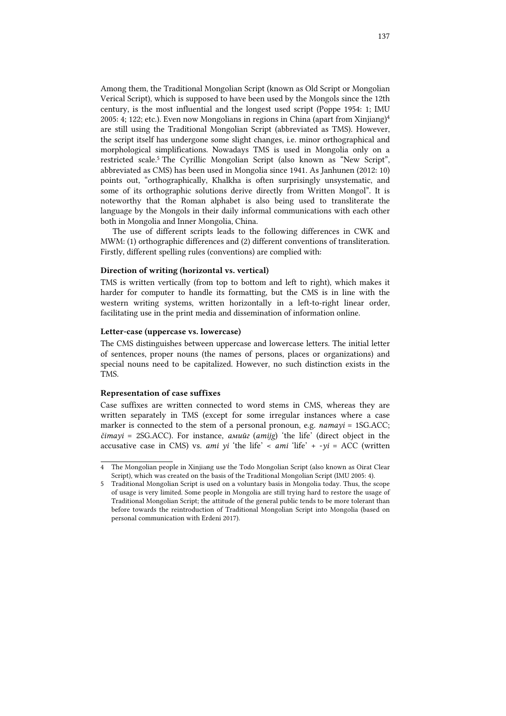Among them, the Traditional Mongolian Script (known as Old Script or Mongolian Verical Script), which is supposed to have been used by the Mongols since the 12th century, is the most influential and the longest used script (Poppe 1954: 1; IMU 2005: 4; 122; etc.). Even now Mongolians in regions in China (apart from Xinijang)<sup>4</sup> are still using the Traditional Mongolian Script (abbreviated as TMS). However, the script itself has undergone some slight changes, i.e. minor orthographical and morphological simplifications. Nowadays TMS is used in Mongolia only on a restricted scale.<sup>5</sup> The Cyrillic Mongolian Script (also known as "New Script", abbreviated as CMS) has been used in Mongolia since 1941. As Janhunen (2012: 10) points out, "orthographically, Khalkha is often surprisingly unsystematic, and some of its orthographic solutions derive directly from Written Mongol". It is noteworthy that the Roman alphabet is also being used to transliterate the language by the Mongols in their daily informal communications with each other both in Mongolia and Inner Mongolia, China.

The use of different scripts leads to the following differences in CWK and MWM: (1) orthographic differences and (2) different conventions of transliteration. Firstly, different spelling rules (conventions) are complied with:

#### Direction of writing (horizontal vs. vertical)

TMS is written vertically (from top to bottom and left to right), which makes it harder for computer to handle its formatting, but the CMS is in line with the western writing systems, written horizontally in a left-to-right linear order, facilitating use in the print media and dissemination of information online.

### Letter-case (uppercase vs. lowercase)

The CMS distinguishes between uppercase and lowercase letters. The initial letter of sentences, proper nouns (the names of persons, places or organizations) and special nouns need to be capitalized. However, no such distinction exists in the TMS.

### Representation of case suffixes

Case suffixes are written connected to word stems in CMS, whereas they are written separately in TMS (except for some irregular instances where a case marker is connected to the stem of a personal pronoun, e.g. *namayi* = 1SG.ACC; č*imayi* = 2SG.ACC). For instance, *a*мийг (*amijg*) 'the life' (direct object in the accusative case in CMS) vs. *ami yi* 'the life' < *ami* 'life' + -*yi* = ACC (written

<sup>4</sup> The Mongolian people in Xinjiang use the Todo Mongolian Script (also known as Oirat Clear Script), which was created on the basis of the Traditional Mongolian Script (IMU 2005: 4).

<sup>5</sup> Traditional Mongolian Script is used on a voluntary basis in Mongolia today. Thus, the scope of usage is very limited. Some people in Mongolia are still trying hard to restore the usage of Traditional Mongolian Script; the attitude of the general public tends to be more tolerant than before towards the reintroduction of Traditional Mongolian Script into Mongolia (based on personal communication with Erdeni 2017).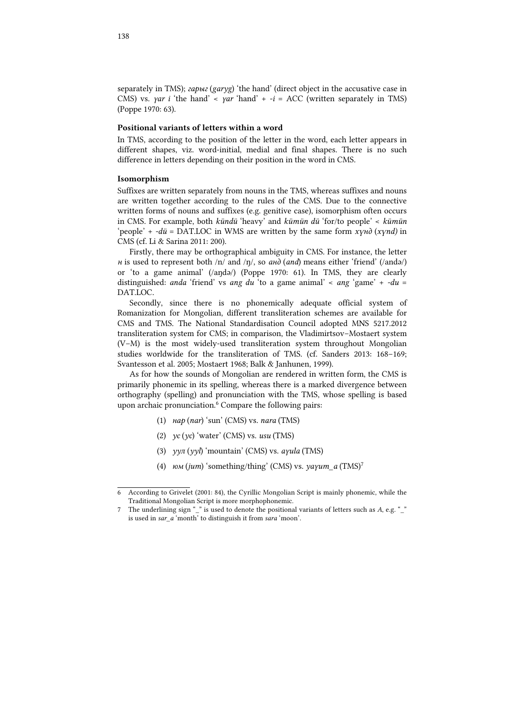separately in TMS); г*a*рыг (*garyg*) 'the hand' (direct object in the accusative case in CMS) vs. γ*ar i* 'the hand' < γ*ar* 'hand' + *-i* = ACC (written separately in TMS) (Poppe 1970: 63).

### Positional variants of letters within a word

In TMS, according to the position of the letter in the word, each letter appears in different shapes, viz. word-initial, medial and final shapes. There is no such difference in letters depending on their position in the word in CMS.

## Isomorphism

Suffixes are written separately from nouns in the TMS, whereas suffixes and nouns are written together according to the rules of the CMS. Due to the connective written forms of nouns and suffixes (e.g. genitive case), isomorphism often occurs in CMS. For example, both *kündü* 'heavy' and *kümün dü* 'for/to people' < *kümün*  'people' + *-dü* = DAT.LOC in WMS are written by the same form *x*үнд (*x*ү*nd)* in CMS (cf. Li & Sarina 2011: 200).

Firstly, there may be orthographical ambiguity in CMS. For instance, the letter  $\mu$  is used to represent both /n/ and /n/, so *and* (*and*) means either 'friend' (/andə/) or 'to a game animal' (/aŋdə/) (Poppe 1970: 61). In TMS, they are clearly distinguished: *anda* 'friend' vs *ang du* 'to a game animal' < *ang* 'game' + *-du* = DAT.LOC.

Secondly, since there is no phonemically adequate official system of Romanization for Mongolian, different transliteration schemes are available for CMS and TMS. The National Standardisation Council adopted MNS 5217.2012 transliteration system for CMS; in comparison, the Vladimirtsov–Mostaert system (V–M) is the most widely-used transliteration system throughout Mongolian studies worldwide for the transliteration of TMS. (cf. Sanders 2013: 168–169; Svantesson et al. 2005; Mostaert 1968; Balk & Janhunen, 1999).

As for how the sounds of Mongolian are rendered in written form, the CMS is primarily phonemic in its spelling, whereas there is a marked divergence between orthography (spelling) and pronunciation with the TMS, whose spelling is based upon archaic pronunciation.<sup>6</sup> Compare the following pairs:

- (1) н*a*р (*nar*) 'sun' (CMS) vs. *nara* (TMS)
- (2) *yc* (*yc*) 'water' (CMS) vs. *usu* (TMS)
- (3) *yy*л (*yyl*) 'mountain' (CMS) vs. *a*γ*ula* (TMS)
- (4) юм (*jum*) 'something/thing' (CMS) vs. *ya*γ*um\_a* (TMS) 7

<sup>6</sup> According to Grivelet (2001: 84), the Cyrillic Mongolian Script is mainly phonemic, while the Traditional Mongolian Script is more morphophonemic.

<sup>7</sup> The underlining sign "\_" is used to denote the positional variants of letters such as *A*, e.g. "\_" is used in *sar\_a* 'month' to distinguish it from *sara* 'moon'.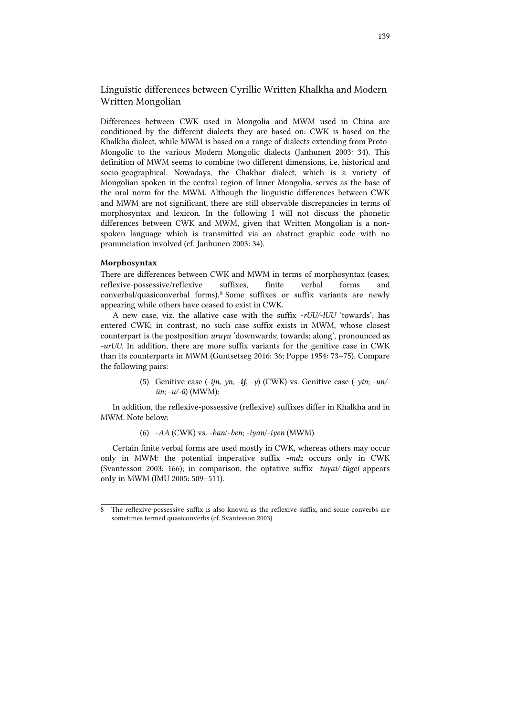# Linguistic differences between Cyrillic Written Khalkha and Modern Written Mongolian

Differences between CWK used in Mongolia and MWM used in China are conditioned by the different dialects they are based on: CWK is based on the Khalkha dialect, while MWM is based on a range of dialects extending from Proto-Mongolic to the various Modern Mongolic dialects (Janhunen 2003: 34). This definition of MWM seems to combine two different dimensions, i.e. historical and socio-geographical. Nowadays, the Chakhar dialect, which is a variety of Mongolian spoken in the central region of Inner Mongolia, serves as the base of the oral norm for the MWM. Although the linguistic differences between CWK and MWM are not significant, there are still observable discrepancies in terms of morphosyntax and lexicon. In the following I will not discuss the phonetic differences between CWK and MWM, given that Written Mongolian is a nonspoken language which is transmitted via an abstract graphic code with no pronunciation involved (cf. Janhunen 2003: 34).

### Morphosyntax

There are differences between CWK and MWM in terms of morphosyntax (cases, reflexive-possessive/reflexive suffixes, finite verbal forms and converbal/quasiconverbal forms).<sup>8</sup> Some suffixes or suffix variants are newly appearing while others have ceased to exist in CWK.

A new case, viz. the allative case with the suffix -*rUU/-lUU* 'towards', has entered CWK; in contrast, no such case suffix exists in MWM, whose closest counterpart is the postposition *uru*γ*u* 'downwards; towards; along', pronounced as *-urUU*. In addition, there are more suffix variants for the genitive case in CWK than its counterparts in MWM (Guntsetseg 2016: 36; Poppe 1954: 73–75). Compare the following pairs:

> (5) Genitive case (-*ijn*, *yn*, -*ij*, -*y*) (CWK) vs. Genitive case (-*yin*; -*un/ ün*; -*u/-ü*) (MWM);

In addition, the reflexive-possessive (reflexive) suffixes differ in Khalkha and in MWM. Note below:

(6) -*AA* (CWK) vs. -*ban*/-*ben*; -*iyan*/-*iyen* (MWM).

Certain finite verbal forms are used mostly in CWK, whereas others may occur only in MWM: the potential imperative suffix *-mdz* occurs only in CWK (Svantesson 2003: 166); in comparison, the optative suffix *-tu*γ*ai/-tügei* appears only in MWM (IMU 2005: 509–511).

<sup>8</sup> The reflexive-possessive suffix is also known as the reflexive suffix, and some converbs are sometimes termed quasiconverbs (cf. Svantesson 2003).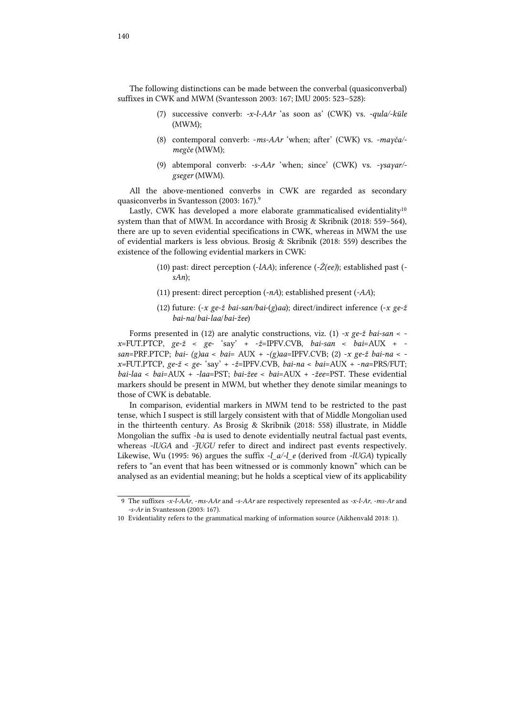The following distinctions can be made between the converbal (quasiconverbal) suffixes in CWK and MWM (Svantesson 2003: 167; IMU 2005: 523–528):

- (7) successive converb: *-x-l-AAr* 'as soon as' (CWK) vs. *-qula/-küle* (MWM);
- (8) contemporal converb: -*ms-AAr* 'when; after' (CWK) vs. *-ma*γč*a/ meg*č*e* (MWM);
- (9) abtemporal converb: *-s-AAr* 'when; since' (CWK) vs. *-*γ*sa*γ*ar/ gseger* (MWM).

All the above-mentioned converbs in CWK are regarded as secondary quasiconverbs in Svantesson (2003: 167).9

Lastly, CWK has developed a more elaborate grammaticalised evidentiality<sup>10</sup> system than that of MWM. In accordance with Brosig & Skribnik (2018: 559–564), there are up to seven evidential specifications in CWK, whereas in MWM the use of evidential markers is less obvious. Brosig & Skribnik (2018: 559) describes the existence of the following evidential markers in CWK:

- (10) past: direct perception (-*lAA*); inference (*-*Ž*(ee)*); established past ( *sAn*);
- (11) present: direct perception (*-nA*); established present (*-AA*);
- (12) future: (-*x ge-*ž *bai-san/bai*-(*g*)*aa*); direct/indirect inference (-*x ge-*ž *bai*-*na*/*bai*-*laa*/*bai*-ž*ee*)

Forms presented in (12) are analytic constructions, viz. (1) *-x ge-*ž *bai-san* <  *x*=FUT.PTCP, *ge-*ž < *ge*- 'say' + -ž=IPFV.CVB, *bai-san* < *bai*=AUX +  *san*=PRF.PTCP; *bai- (g)aa* < *bai*= AUX + -*(g)aa*=IPFV.CVB; (2) -*x ge-*ž *bai-na* <  *x=*FUT.PTCP, *ge-*ž < *ge*- 'say' + -ž=IPFV.CVB, *bai-na* < *bai*=AUX + -*na*=PRS/FUT; *bai-laa* < *bai*=AUX + *-laa*=PST; *bai-*ž*ee* < *bai*=AUX + -ž*ee*=PST. These evidential markers should be present in MWM, but whether they denote similar meanings to those of CWK is debatable.

In comparison, evidential markers in MWM tend to be restricted to the past tense, which I suspect is still largely consistent with that of Middle Mongolian used in the thirteenth century. As Brosig & Skribnik (2018: 558) illustrate, in Middle Mongolian the suffix *-ba* is used to denote evidentially neutral factual past events, whereas *-lUGA* and *-JUGU* refer to direct and indirect past events respectively. Likewise, Wu (1995: 96) argues the suffix *-l\_a/-l\_e* (derived from *-lUGA*) typically refers to "an event that has been witnessed or is commonly known" which can be analysed as an evidential meaning; but he holds a sceptical view of its applicability

<sup>9</sup> The suffixes *-x-l-AAr*, -*ms-AAr* and *-s-AAr* are respectively represented as *-x-l-Ar, -ms-Ar* and *-s-Ar* in Svantesson (2003: 167).

<sup>10</sup> Evidentiality refers to the grammatical marking of information source (Aikhenvald 2018: 1).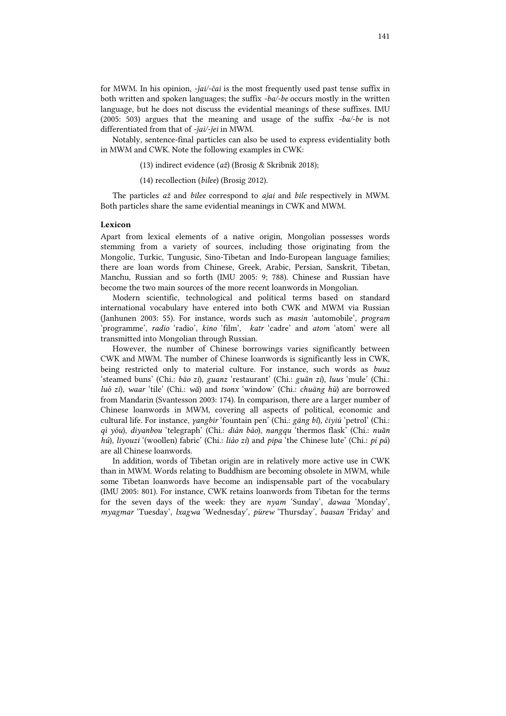for MWM. In his opinion, *-jai/-čai* is the most frequently used past tense suffix in both written and spoken languages; the suffix *-ba/-be* occurs mostly in the written language, but he does not discuss the evidential meanings of these suffixes. IMU (2005: 503) argues that the meaning and usage of the suffix *-ba/-be* is not differentiated from that of *-*ǰ*ai/-*ǰ*ei* in MWM.

Notably, sentence-final particles can also be used to express evidentiality both in MWM and CWK. Note the following examples in CWK:

(13) indirect evidence (*a*ž) (Brosig & Skribnik 2018);

(14) recollection (*bilee*) (Brosig 2012).

The particles *a*ž and *bilee* correspond to *a*ǰ*ai* and *bile* respectively in MWM. Both particles share the same evidential meanings in CWK and MWM.

### Lexicon

Apart from lexical elements of a native origin, Mongolian possesses words stemming from a variety of sources, including those originating from the Mongolic, Turkic, Tungusic, Sino-Tibetan and Indo-European language families; there are loan words from Chinese, Greek, Arabic, Persian, Sanskrit, Tibetan, Manchu, Russian and so forth (IMU 2005: 9; 788). Chinese and Russian have become the two main sources of the more recent loanwords in Mongolian.

Modern scientific, technological and political terms based on standard international vocabulary have entered into both CWK and MWM via Russian (Janhunen 2003: 55). For instance, words such as *masin* 'automobile', *program* 'programme', *radio* 'radio', *kino* 'film', *katr* 'cadre' and *atom* 'atom' were all transmitted into Mongolian through Russian.

However, the number of Chinese borrowings varies significantly between CWK and MWM. The number of Chinese loanwords is significantly less in CWK, being restricted only to material culture. For instance, such words as *buuz* 'steamed buns' (Chi.: *b*ā*o zi*), *guanz* 'restaurant' (Chi.: *gu*ă*n zi*), *luus* 'mule' (Chi.: *luó zi*), *waar* 'tile' (Chi.: *w*ă) and *tsonx* 'window' (Chi.: *chu*ā*ng hù*) are borrowed from Mandarin (Svantesson 2003: 174). In comparison, there are a larger number of Chinese loanwords in MWM, covering all aspects of political, economic and cultural life. For instance, γ*angbir* 'fountain pen' (Chi.: *g*ā*ng b*ǐ), č*iyiü* 'petrol' (Chi.: *qì yóu*), *diyanbou* 'telegraph' (Chi.: *diàn bào*), *nangqu* 'thermos flask' (Chi.: *nu*ă*n hú*), *liyouzi* '(woollen) fabric' (Chi.: *liào zi*) and *pipa* 'the Chinese lute' (Chi.: *pí pá*) are all Chinese loanwords.

In addition, words of Tibetan origin are in relatively more active use in CWK than in MWM. Words relating to Buddhism are becoming obsolete in MWM, while some Tibetan loanwords have become an indispensable part of the vocabulary (IMU 2005: 801). For instance, CWK retains loanwords from Tibetan for the terms for the seven days of the week: they are *nyam* 'Sunday', *dawaa* 'Monday', *myagmar* 'Tuesday', *lxagwa* 'Wednesday', *pürew* 'Thursday', *baasan* 'Friday' and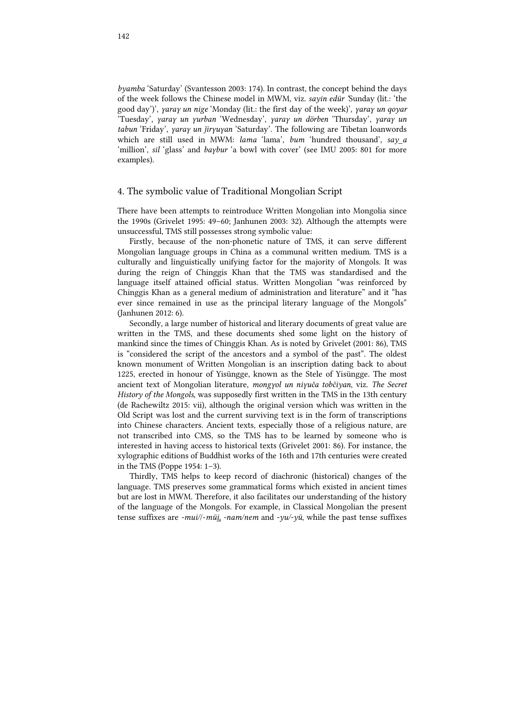*byamba* 'Saturday' (Svantesson 2003: 174). In contrast, the concept behind the days of the week follows the Chinese model in MWM, viz. *sayin edür '*Sunday (lit.: 'the good day')', γ*ara*γ *un nige* 'Monday (lit.: the first day of the week)', γ*ara*γ *un qoyar*  'Tuesday', γ*ara*γ *un* γ*urban* 'Wednesday', γ*ara*γ *un dörben* 'Thursday', γ*ara*γ *un tabun* 'Friday', *γaraγ un jirγuγan* 'Saturday'. The following are Tibetan loanwords which are still used in MWM: *lama* 'lama', *bum* 'hundred thousand', *say\_a* 'million', *sil* 'glass' and *ba*γ*bur* 'a bowl with cover' (see IMU 2005: 801 for more examples).

## 4. The symbolic value of Traditional Mongolian Script

There have been attempts to reintroduce Written Mongolian into Mongolia since the 1990s (Grivelet 1995: 49–60; Janhunen 2003: 32). Although the attempts were unsuccessful, TMS still possesses strong symbolic value:

Firstly, because of the non-phonetic nature of TMS, it can serve different Mongolian language groups in China as a communal written medium. TMS is a culturally and linguistically unifying factor for the majority of Mongols. It was during the reign of Chinggis Khan that the TMS was standardised and the language itself attained official status. Written Mongolian "was reinforced by Chinggis Khan as a general medium of administration and literature" and it "has ever since remained in use as the principal literary language of the Mongols" (Janhunen 2012: 6).

Secondly, a large number of historical and literary documents of great value are written in the TMS, and these documents shed some light on the history of mankind since the times of Chinggis Khan. As is noted by Grivelet (2001: 86), TMS is "considered the script of the ancestors and a symbol of the past". The oldest known monument of Written Mongolian is an inscription dating back to about 1225, erected in honour of Yisüngge, known as the Stele of Yisüngge. The most ancient text of Mongolian literature, *mong*γ*ol un ni*γ*u*č*a tob*č*iyan*, viz. *The Secret History of the Mongols*, was supposedly first written in the TMS in the 13th century (de Rachewiltz 2015: vii), although the original version which was written in the Old Script was lost and the current surviving text is in the form of transcriptions into Chinese characters. Ancient texts, especially those of a religious nature, are not transcribed into CMS, so the TMS has to be learned by someone who is interested in having access to historical texts (Grivelet 2001: 86). For instance, the xylographic editions of Buddhist works of the 16th and 17th centuries were created in the TMS (Poppe 1954: 1–3).

Thirdly, TMS helps to keep record of diachronic (historical) changes of the language. TMS preserves some grammatical forms which existed in ancient times but are lost in MWM. Therefore, it also facilitates our understanding of the history of the language of the Mongols. For example, in Classical Mongolian the present tense suffixes are *-mui/*/-*müi, -nam/nem* and *-yu/-yü*, while the past tense suffixes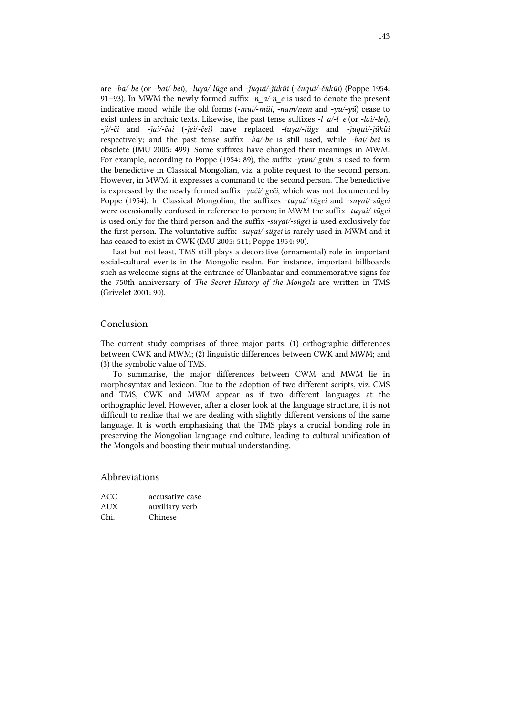are *-ba/-be* (or *-bai/-bei*), *-lu*γ*a/-lüge* and *-*ǰ*uqui/-*ǰ*üküi* (*-*č*uqui/-*č*üküi*) (Poppe 1954: 91–93). In MWM the newly formed suffix *-n\_a/-n\_e* is used to denote the present indicative mood, while the old forms (*-mui/*-*müi*, *-nam/nem* and *-yu/-yü*) cease to exist unless in archaic texts. Likewise, the past tense suffixes *-l\_a/-l\_e* (or *-lai/-lei*), *-*ǰ*i/-*č*i* and *-*ǰ*ai/-*č*ai* (*-*ǰ*ei*/*-*č*ei)* have replaced *-lu*γ*a/-lüge* and *-*ǰ*uqui/-*ǰ*üküi* respectively; and the past tense suffix *-ba/-be* is still used, while *-bai/-bei* is obsolete (IMU 2005: 499). Some suffixes have changed their meanings in MWM. For example, according to Poppe (1954: 89), the suffix *-*γ*tun/-gtün* is used to form the benedictive in Classical Mongolian, viz. a polite request to the second person. However, in MWM, it expresses a command to the second person. The benedictive is expressed by the newly-formed suffix *-*γ*a*č*i/-ge*č*i*, which was not documented by Poppe (1954). In Classical Mongolian, the suffixes *-tu*γ*ai/-tügei* and -*su*γ*ai/-sügei*  were occasionally confused in reference to person; in MWM the suffix *-tu*γ*ai/-tügei* is used only for the third person and the suffix *-su*γ*ai/-sügei* is used exclusively for the first person. The voluntative suffix *-su*γ*ai/-sügei* is rarely used in MWM and it has ceased to exist in CWK (IMU 2005: 511; Poppe 1954: 90).

Last but not least, TMS still plays a decorative (ornamental) role in important social-cultural events in the Mongolic realm. For instance, important billboards such as welcome signs at the entrance of Ulanbaatar and commemorative signs for the 750th anniversary of *The Secret History of the Mongols* are written in TMS (Grivelet 2001: 90).

### Conclusion

The current study comprises of three major parts: (1) orthographic differences between CWK and MWM; (2) linguistic differences between CWK and MWM; and (3) the symbolic value of TMS.

To summarise, the major differences between CWM and MWM lie in morphosyntax and lexicon. Due to the adoption of two different scripts, viz. CMS and TMS, CWK and MWM appear as if two different languages at the orthographic level. However, after a closer look at the language structure, it is not difficult to realize that we are dealing with slightly different versions of the same language. It is worth emphasizing that the TMS plays a crucial bonding role in preserving the Mongolian language and culture, leading to cultural unification of the Mongols and boosting their mutual understanding.

#### Abbreviations

| ACC        | accusative case |
|------------|-----------------|
| <b>AUX</b> | auxiliary verb  |
| Chi.       | Chinese         |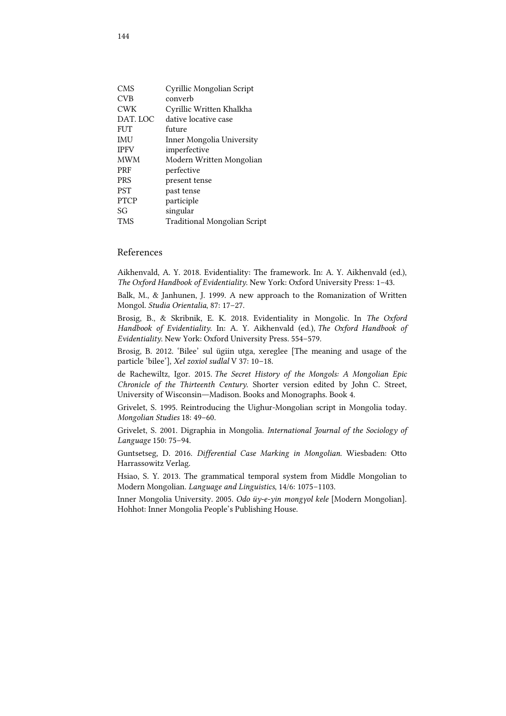| <b>CMS</b>  | Cyrillic Mongolian Script    |
|-------------|------------------------------|
| <b>CVB</b>  | converb                      |
| <b>CWK</b>  | Cyrillic Written Khalkha     |
| DAT. LOC    | dative locative case         |
| <b>FUT</b>  | future                       |
| <b>IMU</b>  | Inner Mongolia University    |
| <b>IPFV</b> | imperfective                 |
| <b>MWM</b>  | Modern Written Mongolian     |
| <b>PRF</b>  | perfective                   |
| <b>PRS</b>  | present tense                |
| <b>PST</b>  | past tense                   |
| <b>PTCP</b> | participle                   |
| SG          | singular                     |
| TMS         | Traditional Mongolian Script |

## References

Aikhenvald, A. Y. 2018. Evidentiality: The framework. In: A. Y. Aikhenvald (ed*.*), *The Oxford Handbook of Evidentiality*. New York: Oxford University Press: 1–43.

Balk, M., & Janhunen, J. 1999. A new approach to the Romanization of Written Mongol. *Studia Orientalia*, 87: 17–27.

Brosig, B., & Skribnik, E. K. 2018. Evidentiality in Mongolic. In *The Oxford Handbook of Evidentiality*. In: A. Y. Aikhenvald (ed.), *The Oxford Handbook of Evidentiality*. New York: Oxford University Press. 554–579*.*

Brosig, B. 2012. 'Bilee' sul ügiin utga, xereglee [The meaning and usage of the particle 'bilee'], *Xel zoxiol sudlal* V 37: 10–18.

de Rachewiltz, Igor. 2015. *The Secret History of the Mongols: A Mongolian Epic Chronicle of the Thirteenth Century*. Shorter version edited by John C. Street, University of Wisconsin―Madison. Books and Monographs. Book 4.

Grivelet, S. 1995. Reintroducing the Uighur-Mongolian script in Mongolia today. *Mongolian Studies* 18: 49–60.

Grivelet, S. 2001. Digraphia in Mongolia. *International Journal of the Sociology of Language* 150: 75–94.

Guntsetseg, D. 2016. *Differential Case Marking in Mongolian*. Wiesbaden: Otto Harrassowitz Verlag.

Hsiao, S. Y. 2013. The grammatical temporal system from Middle Mongolian to Modern Mongolian. *Language and Linguistics*, 14/6: 1075–1103.

Inner Mongolia University. 2005. *Odo üy-e-yin mong*γ*ol kele* [Modern Mongolian]. Hohhot: Inner Mongolia People's Publishing House.